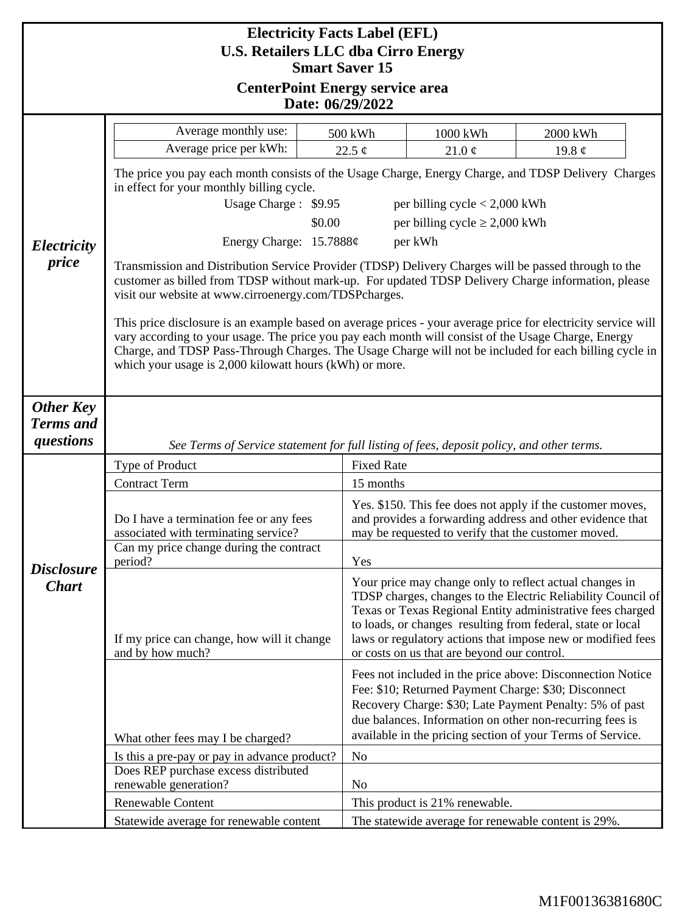| <b>Electricity Facts Label (EFL)</b>                                |                                                                                                                                                                                                                                                                                                                                                                                           |                        |                                                                                                                                                                                                                                                                                                                                                                    |                         |  |
|---------------------------------------------------------------------|-------------------------------------------------------------------------------------------------------------------------------------------------------------------------------------------------------------------------------------------------------------------------------------------------------------------------------------------------------------------------------------------|------------------------|--------------------------------------------------------------------------------------------------------------------------------------------------------------------------------------------------------------------------------------------------------------------------------------------------------------------------------------------------------------------|-------------------------|--|
| <b>U.S. Retailers LLC dba Cirro Energy</b><br><b>Smart Saver 15</b> |                                                                                                                                                                                                                                                                                                                                                                                           |                        |                                                                                                                                                                                                                                                                                                                                                                    |                         |  |
| <b>CenterPoint Energy service area</b>                              |                                                                                                                                                                                                                                                                                                                                                                                           |                        |                                                                                                                                                                                                                                                                                                                                                                    |                         |  |
| Date: 06/29/2022                                                    |                                                                                                                                                                                                                                                                                                                                                                                           |                        |                                                                                                                                                                                                                                                                                                                                                                    |                         |  |
|                                                                     | Average monthly use:                                                                                                                                                                                                                                                                                                                                                                      |                        |                                                                                                                                                                                                                                                                                                                                                                    |                         |  |
|                                                                     | Average price per kWh:                                                                                                                                                                                                                                                                                                                                                                    | 500 kWh<br>22.5 $\phi$ | 1000 kWh<br>21.0 $\phi$                                                                                                                                                                                                                                                                                                                                            | 2000 kWh<br>19.8 $\phi$ |  |
|                                                                     | The price you pay each month consists of the Usage Charge, Energy Charge, and TDSP Delivery Charges<br>in effect for your monthly billing cycle.                                                                                                                                                                                                                                          |                        |                                                                                                                                                                                                                                                                                                                                                                    |                         |  |
|                                                                     | Usage Charge: \$9.95<br>per billing cycle $< 2,000$ kWh                                                                                                                                                                                                                                                                                                                                   |                        |                                                                                                                                                                                                                                                                                                                                                                    |                         |  |
|                                                                     | per billing cycle $\geq 2,000$ kWh<br>\$0.00                                                                                                                                                                                                                                                                                                                                              |                        |                                                                                                                                                                                                                                                                                                                                                                    |                         |  |
| Electricity                                                         | Energy Charge: $15.7888¢$<br>per kWh                                                                                                                                                                                                                                                                                                                                                      |                        |                                                                                                                                                                                                                                                                                                                                                                    |                         |  |
| price                                                               | Transmission and Distribution Service Provider (TDSP) Delivery Charges will be passed through to the<br>customer as billed from TDSP without mark-up. For updated TDSP Delivery Charge information, please<br>visit our website at www.cirroenergy.com/TDSPcharges.                                                                                                                       |                        |                                                                                                                                                                                                                                                                                                                                                                    |                         |  |
|                                                                     | This price disclosure is an example based on average prices - your average price for electricity service will<br>vary according to your usage. The price you pay each month will consist of the Usage Charge, Energy<br>Charge, and TDSP Pass-Through Charges. The Usage Charge will not be included for each billing cycle in<br>which your usage is 2,000 kilowatt hours (kWh) or more. |                        |                                                                                                                                                                                                                                                                                                                                                                    |                         |  |
| <b>Other Key</b><br><b>Terms</b> and                                |                                                                                                                                                                                                                                                                                                                                                                                           |                        |                                                                                                                                                                                                                                                                                                                                                                    |                         |  |
| questions                                                           | See Terms of Service statement for full listing of fees, deposit policy, and other terms.                                                                                                                                                                                                                                                                                                 |                        |                                                                                                                                                                                                                                                                                                                                                                    |                         |  |
| <b>Disclosure</b><br><b>Chart</b>                                   | <b>Fixed Rate</b><br>Type of Product                                                                                                                                                                                                                                                                                                                                                      |                        |                                                                                                                                                                                                                                                                                                                                                                    |                         |  |
|                                                                     | <b>Contract Term</b>                                                                                                                                                                                                                                                                                                                                                                      |                        | 15 months                                                                                                                                                                                                                                                                                                                                                          |                         |  |
|                                                                     | Do I have a termination fee or any fees<br>associated with terminating service?                                                                                                                                                                                                                                                                                                           |                        | Yes. \$150. This fee does not apply if the customer moves,<br>and provides a forwarding address and other evidence that<br>may be requested to verify that the customer moved.                                                                                                                                                                                     |                         |  |
|                                                                     | Can my price change during the contract<br>period?                                                                                                                                                                                                                                                                                                                                        |                        | Yes                                                                                                                                                                                                                                                                                                                                                                |                         |  |
|                                                                     | If my price can change, how will it change<br>and by how much?                                                                                                                                                                                                                                                                                                                            |                        | Your price may change only to reflect actual changes in<br>TDSP charges, changes to the Electric Reliability Council of<br>Texas or Texas Regional Entity administrative fees charged<br>to loads, or changes resulting from federal, state or local<br>laws or regulatory actions that impose new or modified fees<br>or costs on us that are beyond our control. |                         |  |
|                                                                     | Fees not included in the price above: Disconnection Notice<br>Fee: \$10; Returned Payment Charge: \$30; Disconnect<br>Recovery Charge: \$30; Late Payment Penalty: 5% of past<br>due balances. Information on other non-recurring fees is<br>available in the pricing section of your Terms of Service.<br>What other fees may I be charged?                                              |                        |                                                                                                                                                                                                                                                                                                                                                                    |                         |  |
|                                                                     | Is this a pre-pay or pay in advance product?                                                                                                                                                                                                                                                                                                                                              | N <sub>o</sub>         |                                                                                                                                                                                                                                                                                                                                                                    |                         |  |
|                                                                     | Does REP purchase excess distributed                                                                                                                                                                                                                                                                                                                                                      |                        |                                                                                                                                                                                                                                                                                                                                                                    |                         |  |
|                                                                     | renewable generation?<br>Renewable Content                                                                                                                                                                                                                                                                                                                                                | N <sub>0</sub>         | This product is 21% renewable.                                                                                                                                                                                                                                                                                                                                     |                         |  |
|                                                                     | Statewide average for renewable content                                                                                                                                                                                                                                                                                                                                                   |                        | The statewide average for renewable content is 29%.                                                                                                                                                                                                                                                                                                                |                         |  |